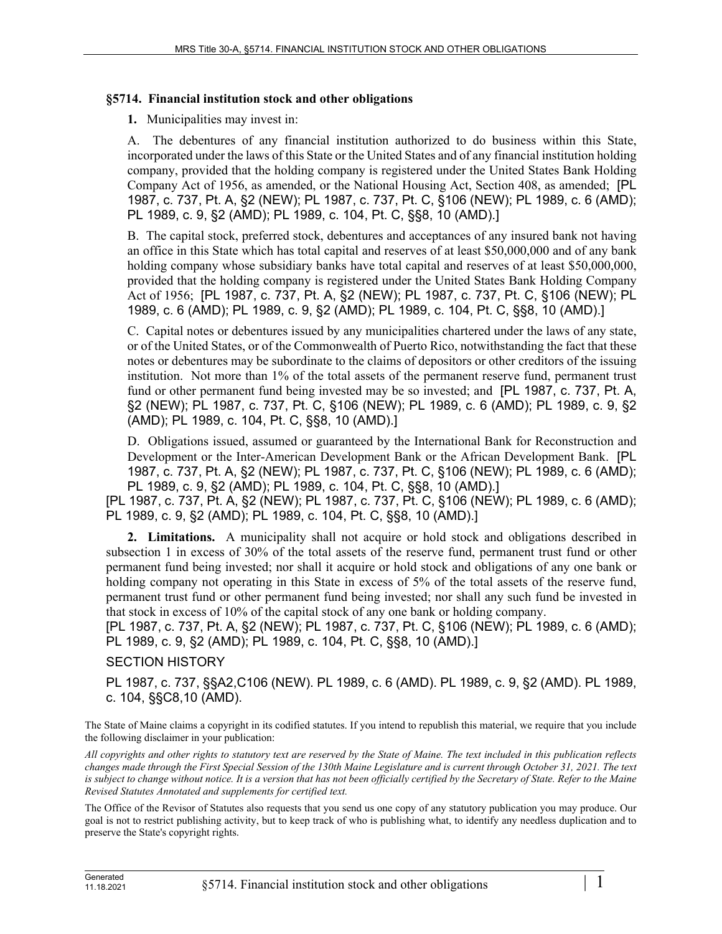## **§5714. Financial institution stock and other obligations**

**1.** Municipalities may invest in:

A. The debentures of any financial institution authorized to do business within this State, incorporated under the laws of this State or the United States and of any financial institution holding company, provided that the holding company is registered under the United States Bank Holding Company Act of 1956, as amended, or the National Housing Act, Section 408, as amended; [PL 1987, c. 737, Pt. A, §2 (NEW); PL 1987, c. 737, Pt. C, §106 (NEW); PL 1989, c. 6 (AMD); PL 1989, c. 9, §2 (AMD); PL 1989, c. 104, Pt. C, §§8, 10 (AMD).]

B. The capital stock, preferred stock, debentures and acceptances of any insured bank not having an office in this State which has total capital and reserves of at least \$50,000,000 and of any bank holding company whose subsidiary banks have total capital and reserves of at least \$50,000,000, provided that the holding company is registered under the United States Bank Holding Company Act of 1956; [PL 1987, c. 737, Pt. A, §2 (NEW); PL 1987, c. 737, Pt. C, §106 (NEW); PL 1989, c. 6 (AMD); PL 1989, c. 9, §2 (AMD); PL 1989, c. 104, Pt. C, §§8, 10 (AMD).]

C. Capital notes or debentures issued by any municipalities chartered under the laws of any state, or of the United States, or of the Commonwealth of Puerto Rico, notwithstanding the fact that these notes or debentures may be subordinate to the claims of depositors or other creditors of the issuing institution. Not more than 1% of the total assets of the permanent reserve fund, permanent trust fund or other permanent fund being invested may be so invested; and [PL 1987, c. 737, Pt. A, §2 (NEW); PL 1987, c. 737, Pt. C, §106 (NEW); PL 1989, c. 6 (AMD); PL 1989, c. 9, §2 (AMD); PL 1989, c. 104, Pt. C, §§8, 10 (AMD).]

D. Obligations issued, assumed or guaranteed by the International Bank for Reconstruction and Development or the Inter-American Development Bank or the African Development Bank. [PL 1987, c. 737, Pt. A, §2 (NEW); PL 1987, c. 737, Pt. C, §106 (NEW); PL 1989, c. 6 (AMD); PL 1989, c. 9, §2 (AMD); PL 1989, c. 104, Pt. C, §§8, 10 (AMD).]

[PL 1987, c. 737, Pt. A, §2 (NEW); PL 1987, c. 737, Pt. C, §106 (NEW); PL 1989, c. 6 (AMD); PL 1989, c. 9, §2 (AMD); PL 1989, c. 104, Pt. C, §§8, 10 (AMD).]

**2. Limitations.** A municipality shall not acquire or hold stock and obligations described in subsection 1 in excess of 30% of the total assets of the reserve fund, permanent trust fund or other permanent fund being invested; nor shall it acquire or hold stock and obligations of any one bank or holding company not operating in this State in excess of 5% of the total assets of the reserve fund, permanent trust fund or other permanent fund being invested; nor shall any such fund be invested in that stock in excess of 10% of the capital stock of any one bank or holding company.

[PL 1987, c. 737, Pt. A, §2 (NEW); PL 1987, c. 737, Pt. C, §106 (NEW); PL 1989, c. 6 (AMD); PL 1989, c. 9, §2 (AMD); PL 1989, c. 104, Pt. C, §§8, 10 (AMD).]

## SECTION HISTORY

PL 1987, c. 737, §§A2,C106 (NEW). PL 1989, c. 6 (AMD). PL 1989, c. 9, §2 (AMD). PL 1989, c. 104, §§C8,10 (AMD).

The State of Maine claims a copyright in its codified statutes. If you intend to republish this material, we require that you include the following disclaimer in your publication:

*All copyrights and other rights to statutory text are reserved by the State of Maine. The text included in this publication reflects changes made through the First Special Session of the 130th Maine Legislature and is current through October 31, 2021. The text*  is subject to change without notice. It is a version that has not been officially certified by the Secretary of State. Refer to the Maine *Revised Statutes Annotated and supplements for certified text.*

The Office of the Revisor of Statutes also requests that you send us one copy of any statutory publication you may produce. Our goal is not to restrict publishing activity, but to keep track of who is publishing what, to identify any needless duplication and to preserve the State's copyright rights.